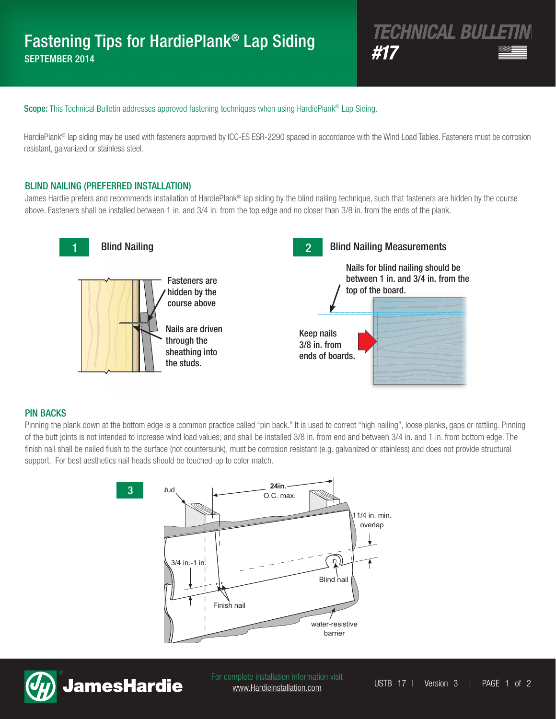# *TECHNICAL BULLETIN* Fastening Tips for HardiePlank® Lap Siding **EXECUTIVE INTERVALUATION CONTROLLER IN THE METAL CONTROLLER AND METAL CONTROLLER AND METAL AND METAL CONTROLLER**

Scope: This Technical Bulletin addresses approved fastening techniques when using HardiePlank<sup>®</sup> Lap Siding.

HardiePlank® lap siding may be used with fasteners approved by ICC-ES ESR-2290 spaced in accordance with the Wind Load Tables. Fasteners must be corrosion resistant, galvanized or stainless steel.

## BLIND NAILING (PREFERRED INSTALLATION)

James Hardie prefers and recommends installation of HardiePlank® lap siding by the blind nailing technique, such that fasteners are hidden by the course above. Fasteners shall be installed between 1 in. and 3/4 in. from the top edge and no closer than 3/8 in. from the ends of the plank.



### PIN BACKS

Pinning the plank down at the bottom edge is a common practice called "pin back." It is used to correct "high nailing", loose planks, gaps or rattling. Pinning of the butt joints is not intended to increase wind load values; and shall be installed 3/8 in. from end and between 3/4 in. and 1 in. from bottom edge. The finish nail shall be nailed flush to the surface (not countersunk), must be corrosion resistant (e.g. galvanized or stainless) and does not provide structural support. For best aesthetics nail heads should be touched-up to color match.





For complete installation information visit<br>
USTB 17 | Version 3 | PAGE 1 of 2 www.HardieInstallation.com